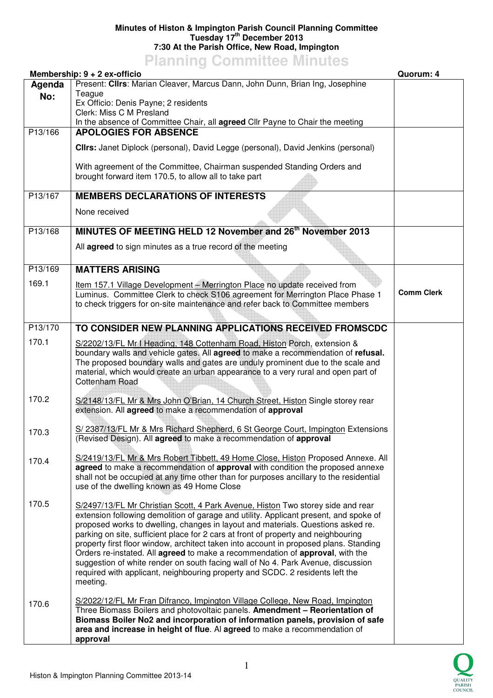## **Minutes of Histon & Impington Parish Council Planning Committee Tuesday 17th December 2013 7:30 At the Parish Office, New Road, Impington**

## **Planning Committee Minutes**

|         | Membership: 9 + 2 ex-officio                                                                                                                                                                                                                                                                                                                                                                                                                                                                                                                                                                                                                                                                                  | Quorum: 4         |
|---------|---------------------------------------------------------------------------------------------------------------------------------------------------------------------------------------------------------------------------------------------------------------------------------------------------------------------------------------------------------------------------------------------------------------------------------------------------------------------------------------------------------------------------------------------------------------------------------------------------------------------------------------------------------------------------------------------------------------|-------------------|
| Agenda  | Present: Clirs: Marian Cleaver, Marcus Dann, John Dunn, Brian Ing, Josephine                                                                                                                                                                                                                                                                                                                                                                                                                                                                                                                                                                                                                                  |                   |
| No:     | Teague<br>Ex Officio: Denis Payne; 2 residents                                                                                                                                                                                                                                                                                                                                                                                                                                                                                                                                                                                                                                                                |                   |
|         | Clerk: Miss C M Presland                                                                                                                                                                                                                                                                                                                                                                                                                                                                                                                                                                                                                                                                                      |                   |
|         | In the absence of Committee Chair, all agreed Cllr Payne to Chair the meeting                                                                                                                                                                                                                                                                                                                                                                                                                                                                                                                                                                                                                                 |                   |
| P13/166 | <b>APOLOGIES FOR ABSENCE</b>                                                                                                                                                                                                                                                                                                                                                                                                                                                                                                                                                                                                                                                                                  |                   |
|         | CIIrs: Janet Diplock (personal), David Legge (personal), David Jenkins (personal)                                                                                                                                                                                                                                                                                                                                                                                                                                                                                                                                                                                                                             |                   |
|         | With agreement of the Committee, Chairman suspended Standing Orders and<br>brought forward item 170.5, to allow all to take part                                                                                                                                                                                                                                                                                                                                                                                                                                                                                                                                                                              |                   |
| P13/167 | <b>MEMBERS DECLARATIONS OF INTERESTS</b>                                                                                                                                                                                                                                                                                                                                                                                                                                                                                                                                                                                                                                                                      |                   |
|         | None received                                                                                                                                                                                                                                                                                                                                                                                                                                                                                                                                                                                                                                                                                                 |                   |
|         |                                                                                                                                                                                                                                                                                                                                                                                                                                                                                                                                                                                                                                                                                                               |                   |
| P13/168 | MINUTES OF MEETING HELD 12 November and 26 <sup>th</sup> November 2013                                                                                                                                                                                                                                                                                                                                                                                                                                                                                                                                                                                                                                        |                   |
|         | All agreed to sign minutes as a true record of the meeting                                                                                                                                                                                                                                                                                                                                                                                                                                                                                                                                                                                                                                                    |                   |
| P13/169 | <b>MATTERS ARISING</b>                                                                                                                                                                                                                                                                                                                                                                                                                                                                                                                                                                                                                                                                                        |                   |
| 169.1   | Item 157.1 Village Development - Merrington Place no update received from<br>Luminus. Committee Clerk to check S106 agreement for Merrington Place Phase 1<br>to check triggers for on-site maintenance and refer back to Committee members                                                                                                                                                                                                                                                                                                                                                                                                                                                                   | <b>Comm Clerk</b> |
|         |                                                                                                                                                                                                                                                                                                                                                                                                                                                                                                                                                                                                                                                                                                               |                   |
| P13/170 | TO CONSIDER NEW PLANNING APPLICATIONS RECEIVED FROMSCDC                                                                                                                                                                                                                                                                                                                                                                                                                                                                                                                                                                                                                                                       |                   |
| 170.1   |                                                                                                                                                                                                                                                                                                                                                                                                                                                                                                                                                                                                                                                                                                               |                   |
|         | S/2202/13/FL Mr I Heading, 148 Cottenham Road, Histon Porch, extension &<br>boundary walls and vehicle gates. All agreed to make a recommendation of refusal.<br>The proposed boundary walls and gates are unduly prominent due to the scale and<br>material, which would create an urban appearance to a very rural and open part of<br>Cottenham Road                                                                                                                                                                                                                                                                                                                                                       |                   |
| 170.2   | S/2148/13/FL Mr & Mrs John O'Brian, 14 Church Street, Histon Single storey rear<br>extension. All agreed to make a recommendation of approval                                                                                                                                                                                                                                                                                                                                                                                                                                                                                                                                                                 |                   |
| 170.3   | S/ 2387/13/FL Mr & Mrs Richard Shepherd, 6 St George Court, Impington Extensions<br>(Revised Design). All agreed to make a recommendation of approval                                                                                                                                                                                                                                                                                                                                                                                                                                                                                                                                                         |                   |
| 170.4   | S/2419/13/FL Mr & Mrs Robert Tibbett, 49 Home Close, Histon Proposed Annexe. All<br>agreed to make a recommendation of approval with condition the proposed annexe<br>shall not be occupied at any time other than for purposes ancillary to the residential<br>use of the dwelling known as 49 Home Close                                                                                                                                                                                                                                                                                                                                                                                                    |                   |
| 170.5   | S/2497/13/FL Mr Christian Scott, 4 Park Avenue, Histon Two storey side and rear<br>extension following demolition of garage and utility. Applicant present, and spoke of<br>proposed works to dwelling, changes in layout and materials. Questions asked re.<br>parking on site, sufficient place for 2 cars at front of property and neighbouring<br>property first floor window, architect taken into account in proposed plans. Standing<br>Orders re-instated. All agreed to make a recommendation of approval, with the<br>suggestion of white render on south facing wall of No 4. Park Avenue, discussion<br>required with applicant, neighbouring property and SCDC. 2 residents left the<br>meeting. |                   |
| 170.6   | S/2022/12/FL Mr Fran Difranco, Impington Village College, New Road, Impington<br>Three Biomass Boilers and photovoltaic panels. Amendment - Reorientation of<br>Biomass Boiler No2 and incorporation of information panels, provision of safe<br>area and increase in height of flue. Al agreed to make a recommendation of<br>approval                                                                                                                                                                                                                                                                                                                                                                       |                   |